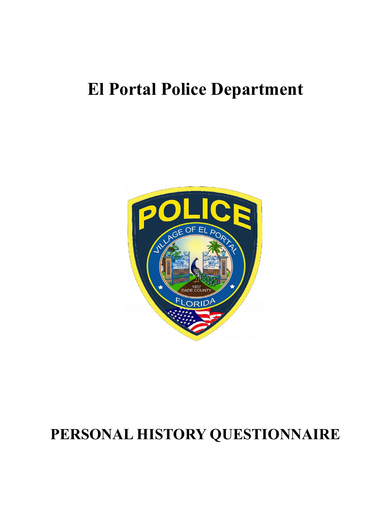# **El Portal Police Department**



# **PERSONAL HISTORY QUESTIONNAIRE**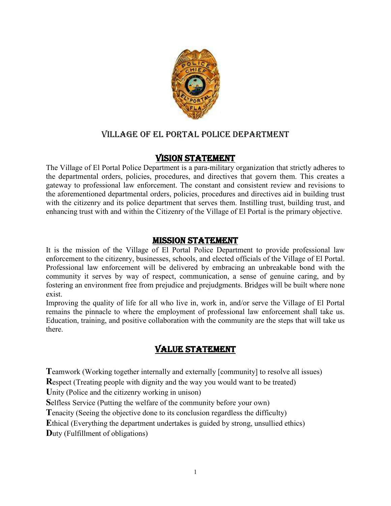

# Village of El Portal police department

# Vision statement

The Village of El Portal Police Department is a para-military organization that strictly adheres to the departmental orders, policies, procedures, and directives that govern them. This creates a gateway to professional law enforcement. The constant and consistent review and revisions to the aforementioned departmental orders, policies, procedures and directives aid in building trust with the citizenry and its police department that serves them. Instilling trust, building trust, and enhancing trust with and within the Citizenry of the Village of El Portal is the primary objective.

# Mission statement

It is the mission of the Village of El Portal Police Department to provide professional law enforcement to the citizenry, businesses, schools, and elected officials of the Village of El Portal. Professional law enforcement will be delivered by embracing an unbreakable bond with the community it serves by way of respect, communication, a sense of genuine caring, and by fostering an environment free from prejudice and prejudgments. Bridges will be built where none exist.

Improving the quality of life for all who live in, work in, and/or serve the Village of El Portal remains the pinnacle to where the employment of professional law enforcement shall take us. Education, training, and positive collaboration with the community are the steps that will take us there.

# Value statement

**Teamwork (Working together internally and externally [community] to resolve all issues)** 

**R**espect (Treating people with dignity and the way you would want to be treated)

Unity (Police and the citizenry working in unison)

**S**elfless Service (Putting the welfare of the community before your own)

**T**enacity (Seeing the objective done to its conclusion regardless the difficulty)

**E**thical (Everything the department undertakes is guided by strong, unsullied ethics)

**D**uty (Fulfillment of obligations)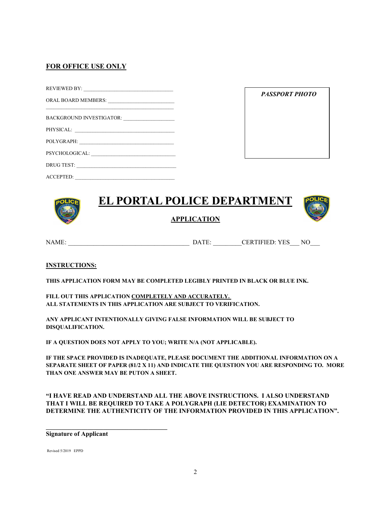## **FOR OFFICE USE ONLY**

| PHYSICAL:                                                                                                                         |
|-----------------------------------------------------------------------------------------------------------------------------------|
| POLYGRAPH:                                                                                                                        |
| PSYCHOLOGICAL:                                                                                                                    |
| DRUG TEST:                                                                                                                        |
| ACCEPTED:<br><u> 1980 - John Stein, markin fizik ar yw y cyfan y cyfan y cyfan y cyfan y cyfan y cyfan y cyfan y cyfan y cyfa</u> |

| <b>PASSPORT PHOTO</b> |  |  |  |  |
|-----------------------|--|--|--|--|
|                       |  |  |  |  |
|                       |  |  |  |  |



**APPLICATION**



NAME: \_\_\_\_\_\_\_\_\_\_\_\_\_\_\_\_\_\_\_\_\_\_\_\_\_\_\_\_\_\_\_\_\_\_\_\_\_\_ DATE: \_\_\_\_\_\_\_\_\_CERTIFIED: YES\_\_\_ NO\_\_\_

#### **INSTRUCTIONS:**

**THIS APPLICATION FORM MAY BE COMPLETED LEGIBLY PRINTED IN BLACK OR BLUE INK.**

**FILL OUT THIS APPLICATION COMPLETELY AND ACCURATELY. ALL STATEMENTS IN THIS APPLICATION ARE SUBJECT TO VERIFICATION.**

**ANY APPLICANT INTENTIONALLY GIVING FALSE INFORMATION WILL BE SUBJECT TO DISQUALIFICATION.**

**IF A QUESTION DOES NOT APPLY TO YOU; WRITE N/A (NOT APPLICABLE).**

**IF THE SPACE PROVIDED IS INADEQUATE, PLEASE DOCUMENT THE ADDITIONAL INFORMATION ON A SEPARATE SHEET OF PAPER (81/2 X 11) AND INDICATE THE QUESTION YOU ARE RESPONDING TO. MORE THAN ONE ANSWER MAY BE PUTON A SHEET.**

**"I HAVE READ AND UNDERSTAND ALL THE ABOVE INSTRUCTIONS. I ALSO UNDERSTAND THAT I WILL BE REQUIRED TO TAKE A POLYGRAPH (LIE DETECTOR) EXAMINATION TO DETERMINE THE AUTHENTICITY OF THE INFORMATION PROVIDED IN THIS APPLICATION".**

**Signature of Applicant**

**\_\_\_\_\_\_\_\_\_\_\_\_\_\_\_\_\_\_\_\_\_\_\_\_\_\_\_\_\_\_\_\_\_\_\_\_\_\_**

Revised 5/2019 EPPD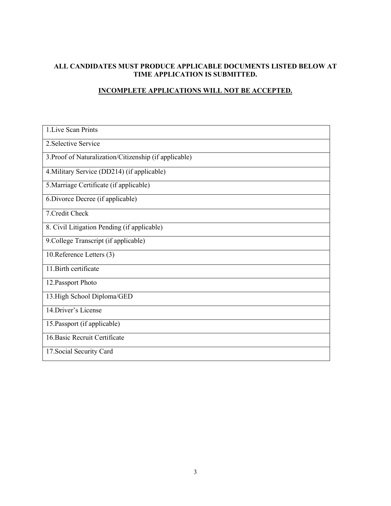# **ALL CANDIDATES MUST PRODUCE APPLICABLE DOCUMENTS LISTED BELOW AT TIME APPLICATION IS SUBMITTED.**

# **INCOMPLETE APPLICATIONS WILL NOT BE ACCEPTED.**

| 1. Live Scan Prints                                    |
|--------------------------------------------------------|
| 2. Selective Service                                   |
| 3. Proof of Naturalization/Citizenship (if applicable) |
| 4. Military Service (DD214) (if applicable)            |
| 5. Marriage Certificate (if applicable)                |
| 6. Divorce Decree (if applicable)                      |
| 7. Credit Check                                        |
| 8. Civil Litigation Pending (if applicable)            |
| 9. College Transcript (if applicable)                  |
| 10. Reference Letters (3)                              |
| 11. Birth certificate                                  |
| 12. Passport Photo                                     |
| 13. High School Diploma/GED                            |
| 14. Driver's License                                   |
| 15. Passport (if applicable)                           |
| 16. Basic Recruit Certificate                          |
| 17. Social Security Card                               |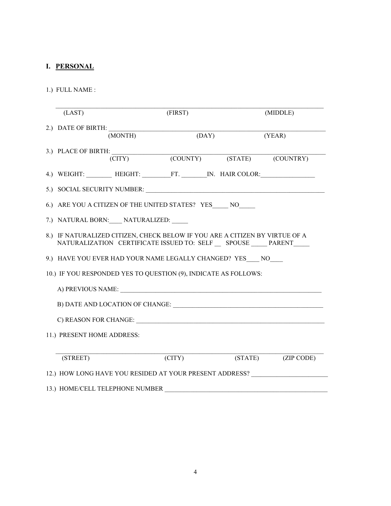# **I. PERSONAL**

1.) FULL NAME :

| (LAST)                     |                                 | (FIRST)                                                                                                                                         | (MIDDLE)                                                |
|----------------------------|---------------------------------|-------------------------------------------------------------------------------------------------------------------------------------------------|---------------------------------------------------------|
|                            | 2.) DATE OF BIRTH:<br>(MONTH)   | (DAY)                                                                                                                                           | (YEAR)                                                  |
|                            | 3.) PLACE OF BIRTH:             | (CITY) (COUNTY) (STATE) (COUNTRY)                                                                                                               |                                                         |
|                            |                                 |                                                                                                                                                 | 4.) WEIGHT: HEIGHT: HEIGHT: FT. N. HAIR COLOR:          |
|                            |                                 | 5.) SOCIAL SECURITY NUMBER:                                                                                                                     |                                                         |
|                            |                                 | 6.) ARE YOU A CITIZEN OF THE UNITED STATES? YES NO                                                                                              |                                                         |
|                            | 7.) NATURAL BORN: NATURALIZED:  |                                                                                                                                                 |                                                         |
|                            |                                 | 8.) IF NATURALIZED CITIZEN, CHECK BELOW IF YOU ARE A CITIZEN BY VIRTUE OF A<br>NATURALIZATION CERTIFICATE ISSUED TO: SELF __ SPOUSE ____ PARENT |                                                         |
|                            |                                 | 9.) HAVE YOU EVER HAD YOUR NAME LEGALLY CHANGED? YES NO                                                                                         |                                                         |
|                            |                                 | 10.) IF YOU RESPONDED YES TO QUESTION (9), INDICATE AS FOLLOWS:                                                                                 |                                                         |
|                            |                                 | A) PREVIOUS NAME:                                                                                                                               |                                                         |
|                            |                                 |                                                                                                                                                 |                                                         |
|                            |                                 |                                                                                                                                                 |                                                         |
| 11.) PRESENT HOME ADDRESS: |                                 |                                                                                                                                                 |                                                         |
| (STREET)                   |                                 | $\Gamma(TTY)$                                                                                                                                   | (STATE) (ZIP CODE)                                      |
|                            |                                 |                                                                                                                                                 |                                                         |
|                            |                                 |                                                                                                                                                 | 12.) HOW LONG HAVE YOU RESIDED AT YOUR PRESENT ADDRESS? |
|                            | 13.) HOME/CELL TELEPHONE NUMBER |                                                                                                                                                 |                                                         |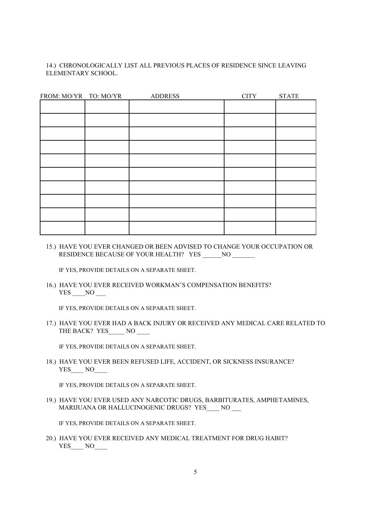#### 14.) CHRONOLOGICALLY LIST ALL PREVIOUS PLACES OF RESIDENCE SINCE LEAVING ELEMENTARY SCHOOL.

| FROM: MO/YR TO: MO/YR | <b>ADDRESS</b> | <b>CITY</b> | <b>STATE</b> |
|-----------------------|----------------|-------------|--------------|
|                       |                |             |              |
|                       |                |             |              |
|                       |                |             |              |
|                       |                |             |              |
|                       |                |             |              |
|                       |                |             |              |
|                       |                |             |              |
|                       |                |             |              |
|                       |                |             |              |
|                       |                |             |              |

15.) HAVE YOU EVER CHANGED OR BEEN ADVISED TO CHANGE YOUR OCCUPATION OR RESIDENCE BECAUSE OF YOUR HEALTH? YES \_\_\_\_\_\_NO \_\_\_\_\_\_\_

IF YES, PROVIDE DETAILS ON A SEPARATE SHEET.

16.) HAVE YOU EVER RECEIVED WORKMAN'S COMPENSATION BENEFITS? YES NO

IF YES, PROVIDE DETAILS ON A SEPARATE SHEET.

17.) HAVE YOU EVER HAD A BACK INJURY OR RECEIVED ANY MEDICAL CARE RELATED TO THE BACK? YES NO

IF YES, PROVIDE DETAILS ON A SEPARATE SHEET.

18.) HAVE YOU EVER BEEN REFUSED LIFE, ACCIDENT, OR SICKNESS INSURANCE? YES\_\_\_\_ NO\_\_\_\_

IF YES, PROVIDE DETAILS ON A SEPARATE SHEET.

19.) HAVE YOU EVER USED ANY NARCOTIC DRUGS, BARBITURATES, AMPHETAMINES, MARIJUANA OR HALLUCINOGENIC DRUGS? YES\_\_\_ NO \_\_

IF YES, PROVIDE DETAILS ON A SEPARATE SHEET.

20.) HAVE YOU EVER RECEIVED ANY MEDICAL TREATMENT FOR DRUG HABIT? YES NO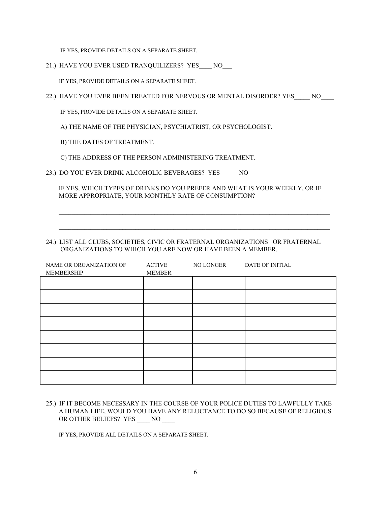IF YES, PROVIDE DETAILS ON A SEPARATE SHEET.

21.) HAVE YOU EVER USED TRANQUILIZERS? YES NO

IF YES, PROVIDE DETAILS ON A SEPARATE SHEET.

22.) HAVE YOU EVER BEEN TREATED FOR NERVOUS OR MENTAL DISORDER? YES \_\_\_\_ NO

IF YES, PROVIDE DETAILS ON A SEPARATE SHEET.

A) THE NAME OF THE PHYSICIAN, PSYCHIATRIST, OR PSYCHOLOGIST.

B) THE DATES OF TREATMENT.

C) THE ADDRESS OF THE PERSON ADMINISTERING TREATMENT.

23.) DO YOU EVER DRINK ALCOHOLIC BEVERAGES? YES \_\_\_\_\_ NO \_\_\_\_

 IF YES, WHICH TYPES OF DRINKS DO YOU PREFER AND WHAT IS YOUR WEEKLY, OR IF MORE APPROPRIATE, YOUR MONTHLY RATE OF CONSUMPTION?

 $\mathcal{L}_\text{max} = \mathcal{L}_\text{max} = \mathcal{L}_\text{max} = \mathcal{L}_\text{max} = \mathcal{L}_\text{max} = \mathcal{L}_\text{max} = \mathcal{L}_\text{max} = \mathcal{L}_\text{max} = \mathcal{L}_\text{max} = \mathcal{L}_\text{max} = \mathcal{L}_\text{max} = \mathcal{L}_\text{max} = \mathcal{L}_\text{max} = \mathcal{L}_\text{max} = \mathcal{L}_\text{max} = \mathcal{L}_\text{max} = \mathcal{L}_\text{max} = \mathcal{L}_\text{max} = \mathcal{$ 

 $\mathcal{L}_\text{max} = \mathcal{L}_\text{max} = \mathcal{L}_\text{max} = \mathcal{L}_\text{max} = \mathcal{L}_\text{max} = \mathcal{L}_\text{max} = \mathcal{L}_\text{max} = \mathcal{L}_\text{max} = \mathcal{L}_\text{max} = \mathcal{L}_\text{max} = \mathcal{L}_\text{max} = \mathcal{L}_\text{max} = \mathcal{L}_\text{max} = \mathcal{L}_\text{max} = \mathcal{L}_\text{max} = \mathcal{L}_\text{max} = \mathcal{L}_\text{max} = \mathcal{L}_\text{max} = \mathcal{$ 

#### 24.) LIST ALL CLUBS, SOCIETIES, CIVIC OR FRATERNAL ORGANIZATIONS OR FRATERNAL ORGANIZATIONS TO WHICH YOU ARE NOW OR HAVE BEEN A MEMBER.

| NAME OR ORGANIZATION OF<br>MEMBERSHIP | <b>ACTIVE</b><br><b>MEMBER</b> | NO LONGER | DATE OF INITIAL |
|---------------------------------------|--------------------------------|-----------|-----------------|
|                                       |                                |           |                 |
|                                       |                                |           |                 |
|                                       |                                |           |                 |
|                                       |                                |           |                 |
|                                       |                                |           |                 |
|                                       |                                |           |                 |
|                                       |                                |           |                 |
|                                       |                                |           |                 |

25.) IF IT BECOME NECESSARY IN THE COURSE OF YOUR POLICE DUTIES TO LAWFULLY TAKE A HUMAN LIFE, WOULD YOU HAVE ANY RELUCTANCE TO DO SO BECAUSE OF RELIGIOUS OR OTHER BELIEFS? YES \_\_\_\_ NO \_\_\_\_

IF YES, PROVIDE ALL DETAILS ON A SEPARATE SHEET.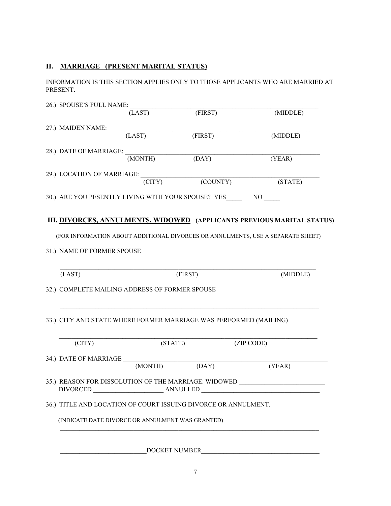# **II. MARRIAGE (PRESENT MARITAL STATUS)**

INFORMATION IS THIS SECTION APPLIES ONLY TO THOSE APPLICANTS WHO ARE MARRIED AT PRESENT.

| 26.) SPOUSE'S FULL NAME:                                                                                                                          |          |         |          |                                                                                                                      |
|---------------------------------------------------------------------------------------------------------------------------------------------------|----------|---------|----------|----------------------------------------------------------------------------------------------------------------------|
|                                                                                                                                                   | (LAST)   | (FIRST) |          | (MIDDLE)                                                                                                             |
| 27.) MAIDEN NAME:                                                                                                                                 |          |         |          |                                                                                                                      |
|                                                                                                                                                   | (LAST)   | (FIRST) |          | (MIDDLE)                                                                                                             |
| 28.) DATE OF MARRIAGE:                                                                                                                            |          |         |          |                                                                                                                      |
|                                                                                                                                                   | (MONTH)  | (DAY)   |          | (YEAR)                                                                                                               |
| 29.) LOCATION OF MARRIAGE:                                                                                                                        |          |         |          |                                                                                                                      |
|                                                                                                                                                   | (CITY)   |         | (COUNTY) | (STATE)                                                                                                              |
| 30.) ARE YOU PESENTLY LIVING WITH YOUR SPOUSE? YES NO                                                                                             |          |         |          |                                                                                                                      |
|                                                                                                                                                   |          |         |          |                                                                                                                      |
|                                                                                                                                                   |          |         |          | III. DIVORCES, ANNULMENTS, WIDOWED (APPLICANTS PREVIOUS MARITAL STATUS)                                              |
|                                                                                                                                                   |          |         |          | (FOR INFORMATION ABOUT ADDITIONAL DIVORCES OR ANNULMENTS, USE A SEPARATE SHEET)                                      |
|                                                                                                                                                   |          |         |          |                                                                                                                      |
|                                                                                                                                                   |          |         |          |                                                                                                                      |
|                                                                                                                                                   |          |         |          |                                                                                                                      |
|                                                                                                                                                   |          |         |          |                                                                                                                      |
| (LAST)                                                                                                                                            |          | (FIRST) |          | (MIDDLE)                                                                                                             |
|                                                                                                                                                   |          |         |          |                                                                                                                      |
|                                                                                                                                                   |          |         |          |                                                                                                                      |
|                                                                                                                                                   |          |         |          |                                                                                                                      |
|                                                                                                                                                   |          |         |          |                                                                                                                      |
| 31.) NAME OF FORMER SPOUSE<br>32.) COMPLETE MAILING ADDRESS OF FORMER SPOUSE<br>33.) CITY AND STATE WHERE FORMER MARRIAGE WAS PERFORMED (MAILING) |          |         |          |                                                                                                                      |
| (CITY)                                                                                                                                            |          | (STATE) |          | (ZIP CODE)                                                                                                           |
| 34.) DATE OF MARRIAGE                                                                                                                             | (MONTH)  |         |          |                                                                                                                      |
|                                                                                                                                                   |          | (DAY)   |          | (YEAR)                                                                                                               |
| <b>DIVORCED</b>                                                                                                                                   |          |         |          |                                                                                                                      |
|                                                                                                                                                   | ANNULLED |         |          | <u> 1980 - Jan Stein Stein Stein Stein Stein Stein Stein Stein Stein Stein Stein Stein Stein Stein Stein Stein S</u> |
| 35.) REASON FOR DISSOLUTION OF THE MARRIAGE: WIDOWED<br>36.) TITLE AND LOCATION OF COURT ISSUING DIVORCE OR ANNULMENT.                            |          |         |          |                                                                                                                      |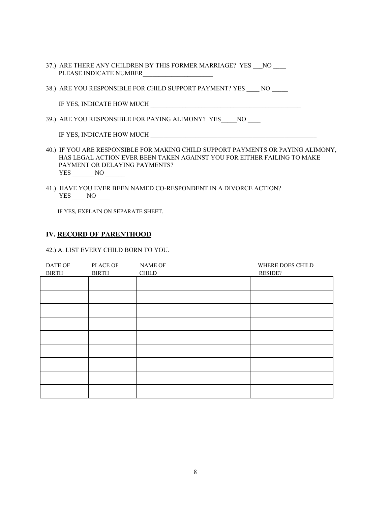- 37.) ARE THERE ANY CHILDREN BY THIS FORMER MARRIAGE? YES NO PLEASE INDICATE NUMBER
- 38.) ARE YOU RESPONSIBLE FOR CHILD SUPPORT PAYMENT? YES NO

IF YES, INDICATE HOW MUCH

39.) ARE YOU RESPONSIBLE FOR PAYING ALIMONY? YES NO

IF YES, INDICATE HOW MUCH \_\_\_\_\_\_\_\_\_\_\_\_\_\_\_\_\_\_\_\_\_\_\_\_\_\_\_\_\_\_\_\_\_\_\_\_\_\_\_\_\_\_\_\_\_\_\_\_\_\_\_\_

- 40.) IF YOU ARE RESPONSIBLE FOR MAKING CHILD SUPPORT PAYMENTS OR PAYING ALIMONY, HAS LEGAL ACTION EVER BEEN TAKEN AGAINST YOU FOR EITHER FAILING TO MAKE PAYMENT OR DELAYING PAYMENTS? YES NO
- 41.) HAVE YOU EVER BEEN NAMED CO-RESPONDENT IN A DIVORCE ACTION? YES \_\_\_\_ NO \_\_\_\_

IF YES, EXPLAIN ON SEPARATE SHEET.

#### **IV. RECORD OF PARENTHOOD**

42.) A. LIST EVERY CHILD BORN TO YOU.

| DATE OF<br><b>BIRTH</b> | PLACE OF<br><b>BIRTH</b> | NAME OF<br><b>CHILD</b> | WHERE DOES CHILD<br>RESIDE? |
|-------------------------|--------------------------|-------------------------|-----------------------------|
|                         |                          |                         |                             |
|                         |                          |                         |                             |
|                         |                          |                         |                             |
|                         |                          |                         |                             |
|                         |                          |                         |                             |
|                         |                          |                         |                             |
|                         |                          |                         |                             |
|                         |                          |                         |                             |
|                         |                          |                         |                             |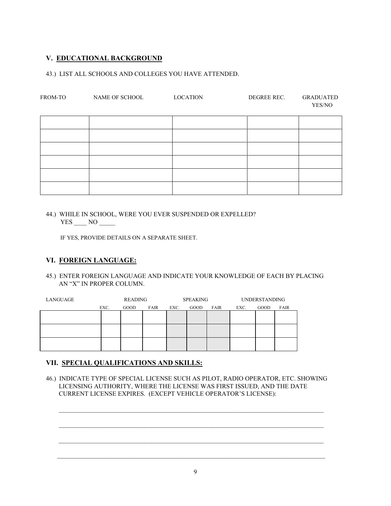# **V. EDUCATIONAL BACKGROUND**

### 43.) LIST ALL SCHOOLS AND COLLEGES YOU HAVE ATTENDED.

| FROM-TO | NAME OF SCHOOL | <b>LOCATION</b> | DEGREE REC. | <b>GRADUATED</b><br>YES/NO |
|---------|----------------|-----------------|-------------|----------------------------|
|         |                |                 |             |                            |
|         |                |                 |             |                            |
|         |                |                 |             |                            |
|         |                |                 |             |                            |
|         |                |                 |             |                            |
|         |                |                 |             |                            |

44.) WHILE IN SCHOOL, WERE YOU EVER SUSPENDED OR EXPELLED? YES NO

IF YES, PROVIDE DETAILS ON A SEPARATE SHEET.

# **VI. FOREIGN LANGUAGE:**

45.) ENTER FOREIGN LANGUAGE AND INDICATE YOUR KNOWLEDGE OF EACH BY PLACING AN "X" IN PROPER COLUMN.

| LANGUAGE | <b>READING</b> |             | <b>SPEAKING</b> |      | <b>UNDERSTANDING</b> |      |      |      |             |
|----------|----------------|-------------|-----------------|------|----------------------|------|------|------|-------------|
|          | EXC.           | <b>GOOD</b> | FAIR            | EXC. | GOOD                 | FAIR | EXC. | GOOD | <b>FAIR</b> |
|          |                |             |                 |      |                      |      |      |      |             |
|          |                |             |                 |      |                      |      |      |      |             |
|          |                |             |                 |      |                      |      |      |      |             |
|          |                |             |                 |      |                      |      |      |      |             |
|          |                |             |                 |      |                      |      |      |      |             |
|          |                |             |                 |      |                      |      |      |      |             |

# **VII. SPECIAL QUALIFICATIONS AND SKILLS:**

46.) INDICATE TYPE OF SPECIAL LICENSE SUCH AS PILOT, RADIO OPERATOR, ETC. SHOWING LICENSING AUTHORITY, WHERE THE LICENSE WAS FIRST ISSUED, AND THE DATE CURRENT LICENSE EXPIRES. (EXCEPT VEHICLE OPERATOR'S LICENSE):

 $\mathcal{L}_\text{max}$  and  $\mathcal{L}_\text{max}$  and  $\mathcal{L}_\text{max}$  and  $\mathcal{L}_\text{max}$  and  $\mathcal{L}_\text{max}$  and  $\mathcal{L}_\text{max}$ 

 $\mathcal{L}_\text{max}$  and  $\mathcal{L}_\text{max}$  and  $\mathcal{L}_\text{max}$  and  $\mathcal{L}_\text{max}$  and  $\mathcal{L}_\text{max}$  and  $\mathcal{L}_\text{max}$ 

 $\mathcal{L}_\text{max}$  and  $\mathcal{L}_\text{max}$  and  $\mathcal{L}_\text{max}$  and  $\mathcal{L}_\text{max}$  and  $\mathcal{L}_\text{max}$  and  $\mathcal{L}_\text{max}$ 

 $\mathcal{L}_\text{max}$  and  $\mathcal{L}_\text{max}$  and  $\mathcal{L}_\text{max}$  and  $\mathcal{L}_\text{max}$  and  $\mathcal{L}_\text{max}$  and  $\mathcal{L}_\text{max}$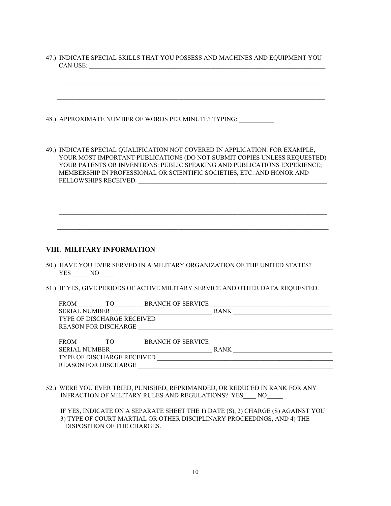47.) INDICATE SPECIAL SKILLS THAT YOU POSSESS AND MACHINES AND EQUIPMENT YOU CAN USE:

 $\mathcal{L} = \{ \mathcal{L} = \{ \mathcal{L} = \{ \mathcal{L} = \mathcal{L} \} \mid \mathcal{L} = \{ \mathcal{L} = \{ \mathcal{L} = \mathcal{L} \} \mid \mathcal{L} = \{ \mathcal{L} = \{ \mathcal{L} = \mathcal{L} = \mathcal{L} \} \mid \mathcal{L} = \{ \mathcal{L} = \{ \mathcal{L} = \mathcal{L} = \mathcal{L} = \mathcal{L} \} \mid \mathcal{L} = \{ \mathcal{L} = \{ \mathcal{L} = \mathcal{L} = \{ \mathcal{L} = \mathcal{L} = \math$ 

 $\overline{\phantom{a}}$  ,  $\overline{\phantom{a}}$  ,  $\overline{\phantom{a}}$  ,  $\overline{\phantom{a}}$  ,  $\overline{\phantom{a}}$  ,  $\overline{\phantom{a}}$  ,  $\overline{\phantom{a}}$  ,  $\overline{\phantom{a}}$  ,  $\overline{\phantom{a}}$  ,  $\overline{\phantom{a}}$  ,  $\overline{\phantom{a}}$  ,  $\overline{\phantom{a}}$  ,  $\overline{\phantom{a}}$  ,  $\overline{\phantom{a}}$  ,  $\overline{\phantom{a}}$  ,  $\overline{\phantom{a}}$ 

48.) APPROXIMATE NUMBER OF WORDS PER MINUTE? TYPING:

49.) INDICATE SPECIAL QUALIFICATION NOT COVERED IN APPLICATION. FOR EXAMPLE, YOUR MOST IMPORTANT PUBLICATIONS (DO NOT SUBMIT COPIES UNLESS REQUESTED) YOUR PATENTS OR INVENTIONS: PUBLIC SPEAKING AND PUBLICATIONS EXPERIENCE; MEMBERSHIP IN PROFESSIONAL OR SCIENTIFIC SOCIETIES, ETC. AND HONOR AND FELLOWSHIPS RECEIVED:

 $\mathcal{L}_\text{max} = \frac{1}{2} \sum_{i=1}^{n} \mathcal{L}_i \mathcal{L}_i + \frac{1}{2} \sum_{i=1}^{n} \mathcal{L}_i \mathcal{L}_i + \frac{1}{2} \sum_{i=1}^{n} \mathcal{L}_i \mathcal{L}_i + \frac{1}{2} \sum_{i=1}^{n} \mathcal{L}_i \mathcal{L}_i + \frac{1}{2} \sum_{i=1}^{n} \mathcal{L}_i \mathcal{L}_i + \frac{1}{2} \sum_{i=1}^{n} \mathcal{L}_i \mathcal{L}_i + \frac{1}{2} \sum_{i=1}^{n$ 

 $\mathcal{L}_\text{max} = \frac{1}{2} \sum_{i=1}^{n} \mathcal{L}_i \mathcal{L}_i + \frac{1}{2} \sum_{i=1}^{n} \mathcal{L}_i \mathcal{L}_i + \frac{1}{2} \sum_{i=1}^{n} \mathcal{L}_i \mathcal{L}_i + \frac{1}{2} \sum_{i=1}^{n} \mathcal{L}_i \mathcal{L}_i + \frac{1}{2} \sum_{i=1}^{n} \mathcal{L}_i \mathcal{L}_i + \frac{1}{2} \sum_{i=1}^{n} \mathcal{L}_i \mathcal{L}_i + \frac{1}{2} \sum_{i=1}^{n$ 

 $\overline{\phantom{a}}$  ,  $\overline{\phantom{a}}$  ,  $\overline{\phantom{a}}$  ,  $\overline{\phantom{a}}$  ,  $\overline{\phantom{a}}$  ,  $\overline{\phantom{a}}$  ,  $\overline{\phantom{a}}$  ,  $\overline{\phantom{a}}$  ,  $\overline{\phantom{a}}$  ,  $\overline{\phantom{a}}$  ,  $\overline{\phantom{a}}$  ,  $\overline{\phantom{a}}$  ,  $\overline{\phantom{a}}$  ,  $\overline{\phantom{a}}$  ,  $\overline{\phantom{a}}$  ,  $\overline{\phantom{a}}$ 

#### **VIII. MILITARY INFORMATION**

- 50.) HAVE YOU EVER SERVED IN A MILITARY ORGANIZATION OF THE UNITED STATES? YES \_\_\_\_\_\_ NO\_\_\_\_\_
- 51.) IF YES, GIVE PERIODS OF ACTIVE MILITARY SERVICE AND OTHER DATA REQUESTED.

| <b>FROM</b>          | TO                          | <b>BRANCH OF SERVICE</b> |             |  |
|----------------------|-----------------------------|--------------------------|-------------|--|
| <b>SERIAL NUMBER</b> |                             |                          | <b>RANK</b> |  |
|                      | TYPE OF DISCHARGE RECEIVED  |                          |             |  |
|                      | <b>REASON FOR DISCHARGE</b> |                          |             |  |
|                      |                             |                          |             |  |
| <b>FROM</b>          | TО                          | <b>BRANCH OF SERVICE</b> |             |  |
| <b>SERIAL NUMBER</b> |                             |                          | <b>RANK</b> |  |
|                      | TYPE OF DISCHARGE RECEIVED  |                          |             |  |
|                      | <b>REASON FOR DISCHARGE</b> |                          |             |  |

52.) WERE YOU EVER TRIED, PUNISHED, REPRIMANDED, OR REDUCED IN RANK FOR ANY INFRACTION OF MILITARY RULES AND REGULATIONS? YES NO

 IF YES, INDICATE ON A SEPARATE SHEET THE 1) DATE (S), 2) CHARGE (S) AGAINST YOU 3) TYPE OF COURT MARTIAL OR OTHER DISCIPLINARY PROCEEDINGS, AND 4) THE DISPOSITION OF THE CHARGES.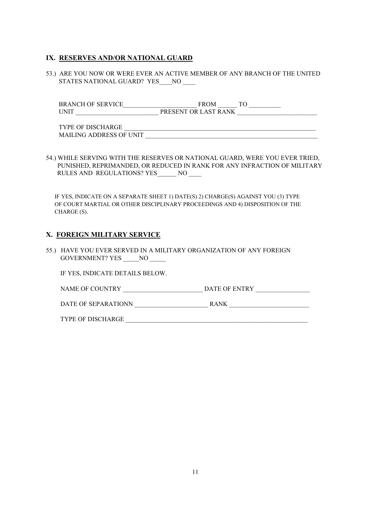# **IX. RESERVES AND/OR NATIONAL GUARD**

53.) ARE YOU NOW OR WERE EVER AN ACTIVE MEMBER OF ANY BRANCH OF THE UNITED STATES NATIONAL GUARD? YES \_\_\_ NO

BRANCH OF SERVICE FROM TO UNIT PRESENT OR LAST RANK

| .)H<br>'DE.                                     |  |
|-------------------------------------------------|--|
| <b>DE UNIT</b><br>L C C<br>MAII<br>ADDRE<br>ING |  |

54.) WHILE SERVING WITH THE RESERVES OR NATIONAL GUARD, WERE YOU EVER TRIED, PUNISHED, REPRIMANDED, OR REDUCED IN RANK FOR ANY INFRACTION OF MILITARY RULES AND REGULATIONS? YES NO

 IF YES, INDICATE ON A SEPARATE SHEET 1) DATE(S) 2) CHARGE(S) AGAINST YOU (3) TYPE OF COURT MARTIAL OR OTHER DISCIPLINARY PROCEEDINGS AND 4) DISPOSITION OF THE CHARGE (S).

#### **X. FOREIGN MILITARY SERVICE**

55.) HAVE YOU EVER SERVED IN A MILITARY ORGANIZATION OF ANY FOREIGN GOVERNMENT? YES \_\_\_\_\_NO \_\_\_\_\_

IF YES, INDICATE DETAILS BELOW.

NAME OF COUNTRY \_\_\_\_\_\_\_\_\_\_\_\_\_\_\_\_\_\_\_\_\_\_\_\_\_ DATE OF ENTRY \_\_\_\_\_\_\_\_\_\_\_\_\_\_\_\_\_

DATE OF SEPARATIONN RANK

TYPE OF DISCHARGE \_\_\_\_\_\_\_\_\_\_\_\_\_\_\_\_\_\_\_\_\_\_\_\_\_\_\_\_\_\_\_\_\_\_\_\_\_\_\_\_\_\_\_\_\_\_\_\_\_\_\_\_\_\_\_\_\_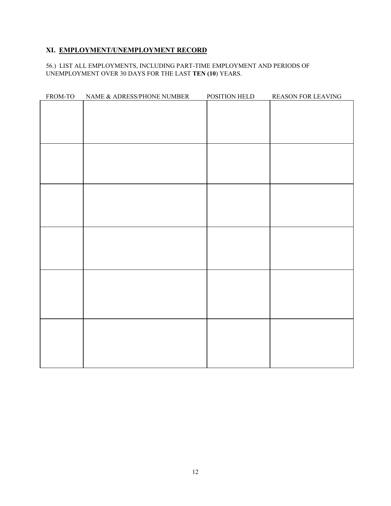# **XI. EMPLOYMENT/UNEMPLOYMENT RECORD**

#### 56.) LIST ALL EMPLOYMENTS, INCLUDING PART-TIME EMPLOYMENT AND PERIODS OF UNEMPLOYMENT OVER 30 DAYS FOR THE LAST **TEN (10**) YEARS.

| FROM-TO | NAME & ADRESS/PHONE NUMBER | POSITION HELD | REASON FOR LEAVING |
|---------|----------------------------|---------------|--------------------|
|         |                            |               |                    |
|         |                            |               |                    |
|         |                            |               |                    |
|         |                            |               |                    |
|         |                            |               |                    |
|         |                            |               |                    |
|         |                            |               |                    |
|         |                            |               |                    |
|         |                            |               |                    |
|         |                            |               |                    |
|         |                            |               |                    |
|         |                            |               |                    |
|         |                            |               |                    |
|         |                            |               |                    |
|         |                            |               |                    |
|         |                            |               |                    |
|         |                            |               |                    |
|         |                            |               |                    |
|         |                            |               |                    |
|         |                            |               |                    |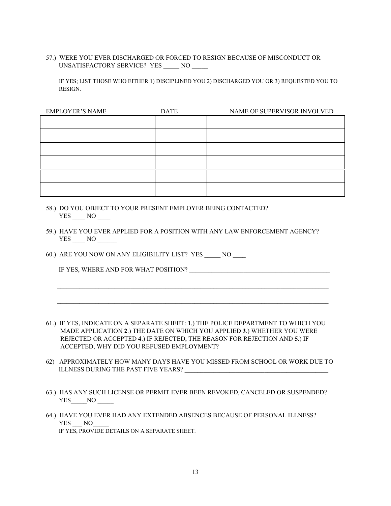57.) WERE YOU EVER DISCHARGED OR FORCED TO RESIGN BECAUSE OF MISCONDUCT OR UNSATISFACTORY SERVICE? YES \_\_\_\_\_ NO \_\_\_\_\_

 IF YES; LIST THOSE WHO EITHER 1) DISCIPLINED YOU 2) DISCHARGED YOU OR 3) REQUESTED YOU TO RESIGN.

| <b>EMPLOYER'S NAME</b> | <b>DATE</b> | NAME OF SUPERVISOR INVOLVED |
|------------------------|-------------|-----------------------------|
|                        |             |                             |
|                        |             |                             |
|                        |             |                             |
|                        |             |                             |
|                        |             |                             |
|                        |             |                             |
|                        |             |                             |

- 58.) DO YOU OBJECT TO YOUR PRESENT EMPLOYER BEING CONTACTED? YES \_\_\_\_ NO \_\_\_\_
- 59.) HAVE YOU EVER APPLIED FOR A POSITION WITH ANY LAW ENFORCEMENT AGENCY? YES NO

60.) ARE YOU NOW ON ANY ELIGIBILITY LIST? YES \_\_\_\_\_ NO \_\_\_\_

IF YES, WHERE AND FOR WHAT POSITION?

61.) IF YES, INDICATE ON A SEPARATE SHEET: **1**.) THE POLICE DEPARTMENT TO WHICH YOU MADE APPLICATION **2**.) THE DATE ON WHICH YOU APPLIED **3**.) WHETHER YOU WERE REJECTED OR ACCEPTED **4**.) IF REJECTED, THE REASON FOR REJECTION AND **5**.) IF ACCEPTED, WHY DID YOU REFUSED EMPLOYMENT?

 $\overline{\phantom{a}}$  ,  $\overline{\phantom{a}}$  ,  $\overline{\phantom{a}}$  ,  $\overline{\phantom{a}}$  ,  $\overline{\phantom{a}}$  ,  $\overline{\phantom{a}}$  ,  $\overline{\phantom{a}}$  ,  $\overline{\phantom{a}}$  ,  $\overline{\phantom{a}}$  ,  $\overline{\phantom{a}}$  ,  $\overline{\phantom{a}}$  ,  $\overline{\phantom{a}}$  ,  $\overline{\phantom{a}}$  ,  $\overline{\phantom{a}}$  ,  $\overline{\phantom{a}}$  ,  $\overline{\phantom{a}}$ 

 $\overline{\phantom{a}}$  ,  $\overline{\phantom{a}}$  ,  $\overline{\phantom{a}}$  ,  $\overline{\phantom{a}}$  ,  $\overline{\phantom{a}}$  ,  $\overline{\phantom{a}}$  ,  $\overline{\phantom{a}}$  ,  $\overline{\phantom{a}}$  ,  $\overline{\phantom{a}}$  ,  $\overline{\phantom{a}}$  ,  $\overline{\phantom{a}}$  ,  $\overline{\phantom{a}}$  ,  $\overline{\phantom{a}}$  ,  $\overline{\phantom{a}}$  ,  $\overline{\phantom{a}}$  ,  $\overline{\phantom{a}}$ 

- 62) APPROXIMATELY HOW MANY DAYS HAVE YOU MISSED FROM SCHOOL OR WORK DUE TO ILLNESS DURING THE PAST FIVE YEARS?
- 63.) HAS ANY SUCH LICENSE OR PERMIT EVER BEEN REVOKED, CANCELED OR SUSPENDED? YES\_\_\_\_\_NO \_\_\_\_\_\_
- 64.) HAVE YOU EVER HAD ANY EXTENDED ABSENCES BECAUSE OF PERSONAL ILLNESS? YES NO IF YES, PROVIDE DETAILS ON A SEPARATE SHEET.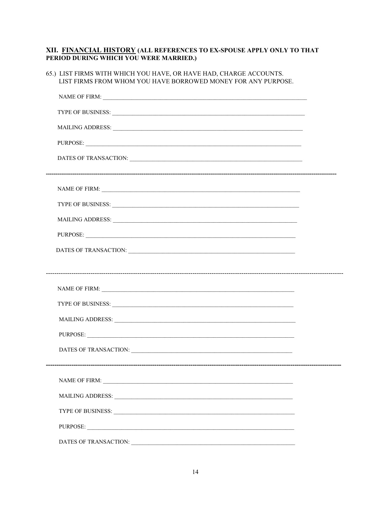# XII. FINANCIAL HISTORY (ALL REFERENCES TO EX-SPOUSE APPLY ONLY TO THAT PERIOD DURING WHICH YOU WERE MARRIED.)

| 65.) LIST FIRMS WITH WHICH YOU HAVE, OR HAVE HAD, CHARGE ACCOUNTS.<br>LIST FIRMS FROM WHOM YOU HAVE BORROWED MONEY FOR ANY PURPOSE.                                                                                            |  |
|--------------------------------------------------------------------------------------------------------------------------------------------------------------------------------------------------------------------------------|--|
|                                                                                                                                                                                                                                |  |
| TYPE OF BUSINESS: New York Contract the Contract of the Contract of the Contract of the Contract of the Contract of the Contract of the Contract of the Contract of the Contract of the Contract of the Contract of the Contra |  |
| MAILING ADDRESS: University of the Second Second Second Second Second Second Second Second Second Second Second Second Second Second Second Second Second Second Second Second Second Second Second Second Second Second Secon |  |
| PURPOSE:                                                                                                                                                                                                                       |  |
|                                                                                                                                                                                                                                |  |
|                                                                                                                                                                                                                                |  |
| TYPE OF BUSINESS: New York Contract the Contract of the Contract of the Contract of the Contract of the Contract of the Contract of the Contract of the Contract of the Contract of the Contract of the Contract of the Contra |  |
| MAILING ADDRESS: University of the Community of the Community of the Community of the Community of the Community of the Community of the Community of the Community of the Community of the Community of the Community of the  |  |
| PURPOSE:                                                                                                                                                                                                                       |  |
|                                                                                                                                                                                                                                |  |
|                                                                                                                                                                                                                                |  |
|                                                                                                                                                                                                                                |  |
| TYPE OF BUSINESS: New York Contract the Contract of the Contract of the Contract of the Contract of the Contract of the Contract of the Contract of the Contract of the Contract of the Contract of the Contract of the Contra |  |
|                                                                                                                                                                                                                                |  |
| PURPOSE:                                                                                                                                                                                                                       |  |
|                                                                                                                                                                                                                                |  |
|                                                                                                                                                                                                                                |  |
|                                                                                                                                                                                                                                |  |
|                                                                                                                                                                                                                                |  |
|                                                                                                                                                                                                                                |  |
| PURPOSE:                                                                                                                                                                                                                       |  |
|                                                                                                                                                                                                                                |  |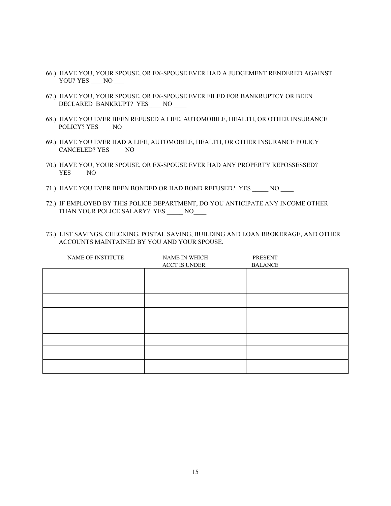- 66.) HAVE YOU, YOUR SPOUSE, OR EX-SPOUSE EVER HAD A JUDGEMENT RENDERED AGAINST YOU? YES \_\_\_\_NO \_\_\_
- 67.) HAVE YOU, YOUR SPOUSE, OR EX-SPOUSE EVER FILED FOR BANKRUPTCY OR BEEN DECLARED BANKRUPT? YES\_\_\_\_ NO \_\_\_\_
- 68.) HAVE YOU EVER BEEN REFUSED A LIFE, AUTOMOBILE, HEALTH, OR OTHER INSURANCE POLICY? YES NO
- 69.) HAVE YOU EVER HAD A LIFE, AUTOMOBILE, HEALTH, OR OTHER INSURANCE POLICY CANCELED? YES \_\_\_\_ NO \_\_\_\_
- 70.) HAVE YOU, YOUR SPOUSE, OR EX-SPOUSE EVER HAD ANY PROPERTY REPOSSESSED? YES NO
- 71.) HAVE YOU EVER BEEN BONDED OR HAD BOND REFUSED? YES NO
- 72.) IF EMPLOYED BY THIS POLICE DEPARTMENT, DO YOU ANTICIPATE ANY INCOME OTHER THAN YOUR POLICE SALARY? YES \_\_\_\_\_ NO\_\_\_\_
- 73.) LIST SAVINGS, CHECKING, POSTAL SAVING, BUILDING AND LOAN BROKERAGE, AND OTHER ACCOUNTS MAINTAINED BY YOU AND YOUR SPOUSE.

| NAME OF INSTITUTE | NAME IN WHICH<br><b>ACCT IS UNDER</b> | <b>PRESENT</b><br><b>BALANCE</b> |
|-------------------|---------------------------------------|----------------------------------|
|                   |                                       |                                  |
|                   |                                       |                                  |
|                   |                                       |                                  |
|                   |                                       |                                  |
|                   |                                       |                                  |
|                   |                                       |                                  |
|                   |                                       |                                  |
|                   |                                       |                                  |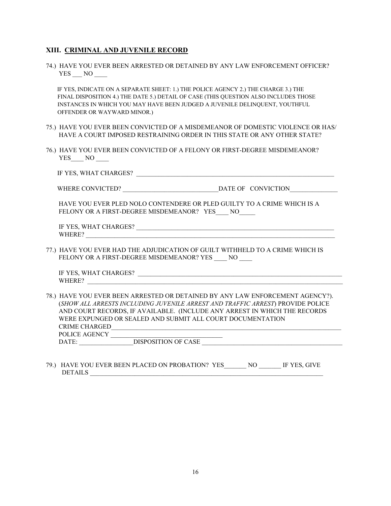#### **XIII. CRIMINAL AND JUVENILE RECORD**

74.) HAVE YOU EVER BEEN ARRESTED OR DETAINED BY ANY LAW ENFORCEMENT OFFICER? YES NO

 IF YES, INDICATE ON A SEPARATE SHEET: 1.) THE POLICE AGENCY 2.) THE CHARGE 3.) THE FINAL DISPOSITION 4.) THE DATE 5.) DETAIL OF CASE (THIS QUESTION ALSO INCLUDES THOSE INSTANCES IN WHICH YOU MAY HAVE BEEN JUDGED A JUVENILE DELINQUENT, YOUTHFUL OFFENDER OR WAYWARD MINOR.)

- 75.) HAVE YOU EVER BEEN CONVICTED OF A MISDEMEANOR OF DOMESTIC VIOLENCE OR HAS/ HAVE A COURT IMPOSED RESTRAINING ORDER IN THIS STATE OR ANY OTHER STATE?
- 76.) HAVE YOU EVER BEEN CONVICTED OF A FELONY OR FIRST-DEGREE MISDEMEANOR? YES NO

| $\sim$<br>10<br>w<br> |  |
|-----------------------|--|
|                       |  |

WHERE CONVICTED? DATE OF CONVICTION

 HAVE YOU EVER PLED NOLO CONTENDERE OR PLED GUILTY TO A CRIME WHICH IS A FELONY OR A FIRST-DEGREE MISDEMEANOR? YES NO

IF YES, WHAT CHARGES? WHERE?

77.) HAVE YOU EVER HAD THE ADJUDICATION OF GUILT WITHHELD TO A CRIME WHICH IS FELONY OR A FIRST-DEGREE MISDEMEANOR? YES NO

| W.<br>$\Lambda$<br>11 F<br>н.<br>ILD.<br>$1 - 1$ |  |
|--------------------------------------------------|--|
| W<br>н и                                         |  |

- 78.) HAVE YOU EVER BEEN ARRESTED OR DETAINED BY ANY LAW ENFORCEMENT AGENCY?). (*SHOW ALL ARRESTS INCLUDING JUVENILE ARREST AND TRAFFIC ARREST*) PROVIDE POLICE AND COURT RECORDS, IF AVAILABLE. (INCLUDE ANY ARREST IN WHICH THE RECORDS WERE EXPUNGED OR SEALED AND SUBMIT ALL COURT DOCUMENTATION CRIME CHARGED POLICE AGENCY \_\_\_\_\_\_\_\_\_\_\_\_\_\_\_\_\_\_\_\_\_\_\_\_\_\_\_\_\_\_\_\_\_\_\_ DATE: \_\_\_\_\_\_\_\_\_\_\_\_\_\_\_\_\_DISPOSITION OF CASE \_\_\_\_\_\_\_\_\_\_\_\_\_\_\_\_\_\_\_\_\_\_\_\_\_\_\_\_\_\_\_\_\_\_\_\_\_\_\_\_\_\_\_\_
- 79.) HAVE YOU EVER BEEN PLACED ON PROBATION? YES NO IF YES, GIVE DETAILS \_\_\_\_\_\_\_\_\_\_\_\_\_\_\_\_\_\_\_\_\_\_\_\_\_\_\_\_\_\_\_\_\_\_\_\_\_\_\_\_\_\_\_\_\_\_\_\_\_\_\_\_\_\_\_\_\_\_\_\_\_\_\_\_\_\_\_\_\_\_\_\_\_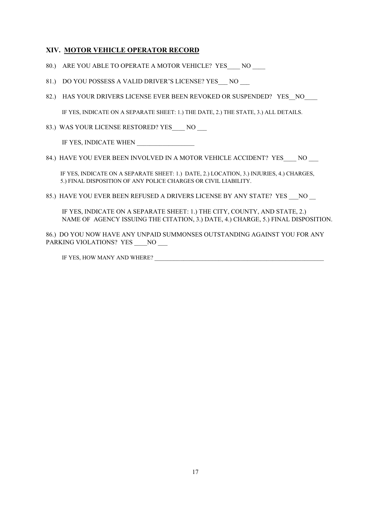### **XIV. MOTOR VEHICLE OPERATOR RECORD**

- 80.) ARE YOU ABLE TO OPERATE A MOTOR VEHICLE? YES NO
- 81.) DO YOU POSSESS A VALID DRIVER'S LICENSE? YES NO
- 82.) HAS YOUR DRIVERS LICENSE EVER BEEN REVOKED OR SUSPENDED? YES NO

IF YES, INDICATE ON A SEPARATE SHEET: 1.) THE DATE, 2.) THE STATE, 3.) ALL DETAILS.

83.) WAS YOUR LICENSE RESTORED? YES NO

IF YES, INDICATE WHEN

84.) HAVE YOU EVER BEEN INVOLVED IN A MOTOR VEHICLE ACCIDENT? YES NO

 IF YES, INDICATE ON A SEPARATE SHEET: 1.) DATE, 2.) LOCATION, 3.) INJURIES, 4.) CHARGES, 5.) FINAL DISPOSITION OF ANY POLICE CHARGES OR CIVIL LIABILITY.

85.) HAVE YOU EVER BEEN REFUSED A DRIVERS LICENSE BY ANY STATE? YES \_\_\_NO

 IF YES, INDICATE ON A SEPARATE SHEET: 1.) THE CITY, COUNTY, AND STATE, 2.) NAME OF AGENCY ISSUING THE CITATION, 3.) DATE, 4.) CHARGE, 5.) FINAL DISPOSITION.

86.) DO YOU NOW HAVE ANY UNPAID SUMMONSES OUTSTANDING AGAINST YOU FOR ANY PARKING VIOLATIONS? YES \_\_\_\_NO \_\_\_

IF YES, HOW MANY AND WHERE? \_\_\_\_\_\_\_\_\_\_\_\_\_\_\_\_\_\_\_\_\_\_\_\_\_\_\_\_\_\_\_\_\_\_\_\_\_\_\_\_\_\_\_\_\_\_\_\_\_\_\_\_\_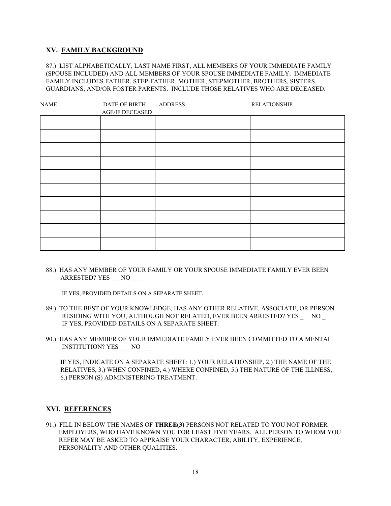#### **XV. FAMILY BACKGROUND**

87.) LIST ALPHABETICALLY, LAST NAME FIRST, ALL MEMBERS OF YOUR IMMEDIATE FAMILY (SPOUSE INCLUDED) AND ALL MEMBERS OF YOUR SPOUSE IMMEDIATE FAMILY. IMMEDIATE FAMILY INCLUDES FATHER, STEP-FATHER, MOTHER, STEPMOTHER, BROTHERS, SISTERS, GUARDIANS, AND/OR FOSTER PARENTS. INCLUDE THOSE RELATIVES WHO ARE DECEASED.

| <b>NAME</b> | DATE OF BIRTH   | <b>ADDRESS</b> | <b>RELATIONSHIP</b> |
|-------------|-----------------|----------------|---------------------|
|             | AGE/IF DECEASED |                |                     |
|             |                 |                |                     |
|             |                 |                |                     |
|             |                 |                |                     |
|             |                 |                |                     |
|             |                 |                |                     |
|             |                 |                |                     |
|             |                 |                |                     |
|             |                 |                |                     |
|             |                 |                |                     |
|             |                 |                |                     |

88.) HAS ANY MEMBER OF YOUR FAMILY OR YOUR SPOUSE IMMEDIATE FAMILY EVER BEEN ARRESTED? YES NO

IF YES, PROVIDED DETAILS ON A SEPARATE SHEET.

- 89.) TO THE BEST OF YOUR KNOWLEDGE, HAS ANY OTHER RELATIVE, ASSOCIATE, OR PERSON RESIDING WITH YOU, ALTHOUGH NOT RELATED, EVER BEEN ARRESTED? YES \_ NO \_ IF YES, PROVIDED DETAILS ON A SEPARATE SHEET.
- 90.) HAS ANY MEMBER OF YOUR IMMEDIATE FAMILY EVER BEEN COMMITTED TO A MENTAL INSTITUTION? YES \_\_\_ NO \_\_\_

 IF YES, INDICATE ON A SEPARATE SHEET: 1.) YOUR RELATIONSHIP, 2.) THE NAME OF THE RELATIVES, 3.) WHEN CONFINED, 4.) WHERE CONFINED, 5.) THE NATURE OF THE ILLNESS, 6.) PERSON (S) ADMINISTERING TREATMENT.

#### **XVI. REFERENCES**

91.) FILL IN BELOW THE NAMES OF **THREE(3)** PERSONS NOT RELATED TO YOU NOT FORMER EMPLOYERS, WHO HAVE KNOWN YOU FOR LEAST FIVE YEARS. ALL PERSON TO WHOM YOU REFER MAY BE ASKED TO APPRAISE YOUR CHARACTER, ABILITY, EXPERIENCE, PERSONALITY AND OTHER QUALITIES.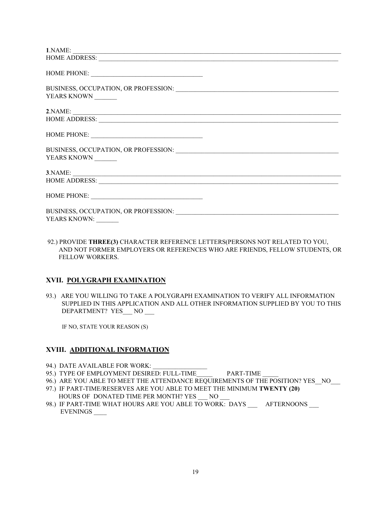| 1. NAME:                                                                                                                                                                                                                       |  |
|--------------------------------------------------------------------------------------------------------------------------------------------------------------------------------------------------------------------------------|--|
|                                                                                                                                                                                                                                |  |
|                                                                                                                                                                                                                                |  |
|                                                                                                                                                                                                                                |  |
| YEARS KNOWN                                                                                                                                                                                                                    |  |
| 2. NAME:                                                                                                                                                                                                                       |  |
|                                                                                                                                                                                                                                |  |
|                                                                                                                                                                                                                                |  |
| BUSINESS, OCCUPATION, OR PROFESSION: University of Anti-                                                                                                                                                                       |  |
| YEARS KNOWN                                                                                                                                                                                                                    |  |
| 3. NAME:                                                                                                                                                                                                                       |  |
| HOME ADDRESS: New York Contract the Contract of the Contract of the Contract of the Contract of the Contract of the Contract of the Contract of the Contract of the Contract of the Contract of the Contract of the Contract o |  |
|                                                                                                                                                                                                                                |  |
| YEARS KNOWN:                                                                                                                                                                                                                   |  |
|                                                                                                                                                                                                                                |  |

92.) PROVIDE **THREE(3)** CHARACTER REFERENCE LETTERS(PERSONS NOT RELATED TO YOU, AND NOT FORMER EMPLOYERS OR REFERENCES WHO ARE FRIENDS, FELLOW STUDENTS, OR FELLOW WORKERS.

#### **XVII. POLYGRAPH EXAMINATION**

93.) ARE YOU WILLING TO TAKE A POLYGRAPH EXAMINATION TO VERIFY ALL INFORMATION SUPPLIED IN THIS APPLICATION AND ALL OTHER INFORMATION SUPPLIED BY YOU TO THIS DEPARTMENT? YES NO

IF NO, STATE YOUR REASON (S)

### **XVIII. ADDITIONAL INFORMATION**

- 94.) DATE AVAILABLE FOR WORK:
- 95.) TYPE OF EMPLOYMENT DESIRED: FULL-TIME PART-TIME
- 96.) ARE YOU ABLE TO MEET THE ATTENDANCE REQUIREMENTS OF THE POSITION? YES \_NO\_\_\_
- 97.) IF PART-TIME/RESERVES ARE YOU ABLE TO MEET THE MINIMUM **TWENTY (20)** HOURS OF DONATED TIME PER MONTH? YES NO
- 98.) IF PART-TIME WHAT HOURS ARE YOU ABLE TO WORK: DAYS \_\_\_\_\_ AFTERNOONS \_\_\_\_ EVENINGS \_\_\_\_